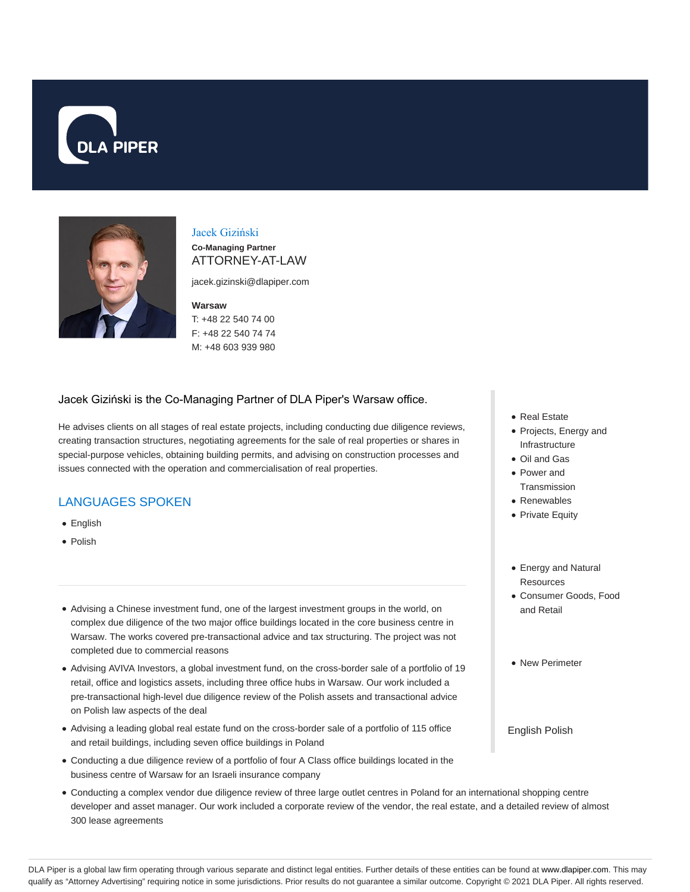



# Jacek Giziński

**Co-Managing Partner** ATTORNEY-AT-LAW

jacek.gizinski@dlapiper.com

#### **Warsaw**

T: +48 22 540 74 00 F: +48 22 540 74 74 M: +48 603 939 980

## Jacek Giziński is the Co-Managing Partner of DLA Piper's Warsaw office.

He advises clients on all stages of real estate projects, including conducting due diligence reviews, creating transaction structures, negotiating agreements for the sale of real properties or shares in special-purpose vehicles, obtaining building permits, and advising on construction processes and issues connected with the operation and commercialisation of real properties.

## LANGUAGES SPOKEN

- English
- Polish
- Advising a Chinese investment fund, one of the largest investment groups in the world, on complex due diligence of the two major office buildings located in the core business centre in Warsaw. The works covered pre-transactional advice and tax structuring. The project was not completed due to commercial reasons
- Advising AVIVA Investors, a global investment fund, on the cross-border sale of a portfolio of 19 retail, office and logistics assets, including three office hubs in Warsaw. Our work included a pre-transactional high-level due diligence review of the Polish assets and transactional advice on Polish law aspects of the deal
- Advising a leading global real estate fund on the cross-border sale of a portfolio of 115 office and retail buildings, including seven office buildings in Poland
- Conducting a due diligence review of a portfolio of four A Class office buildings located in the business centre of Warsaw for an Israeli insurance company
- Conducting a complex vendor due diligence review of three large outlet centres in Poland for an international shopping centre developer and asset manager. Our work included a corporate review of the vendor, the real estate, and a detailed review of almost 300 lease agreements
- Real Estate
- Projects, Energy and Infrastructure
- Oil and Gas
- Power and Transmission
- Renewables
- Private Equity
- Energy and Natural **Resources**
- Consumer Goods, Food and Retail
- New Perimeter

English Polish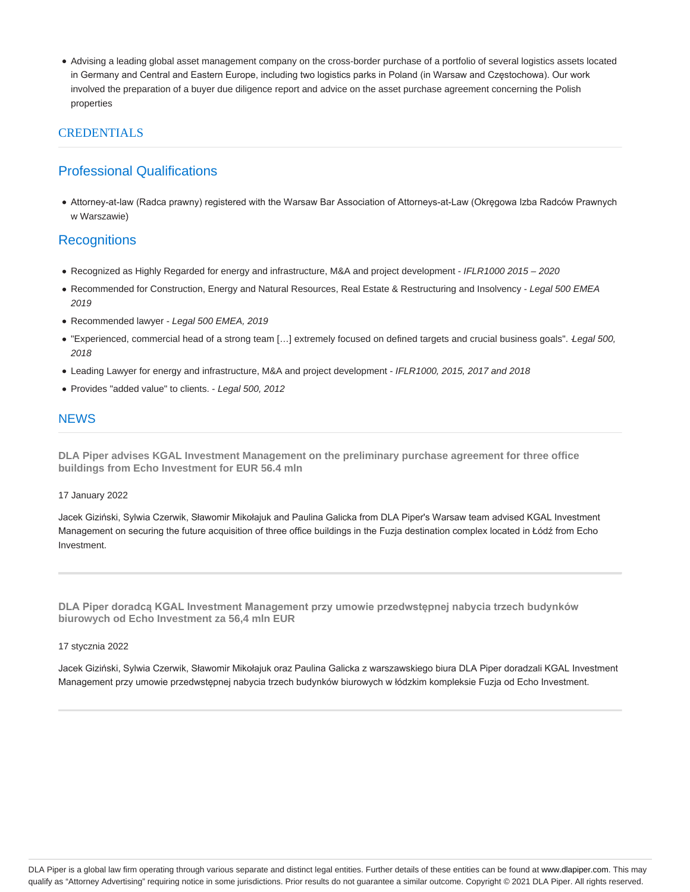Advising a leading global asset management company on the cross-border purchase of a portfolio of several logistics assets located in Germany and Central and Eastern Europe, including two logistics parks in Poland (in Warsaw and Częstochowa). Our work involved the preparation of a buyer due diligence report and advice on the asset purchase agreement concerning the Polish properties

## CREDENTIALS

# Professional Qualifications

Attorney-at-law (Radca prawny) registered with the Warsaw Bar Association of Attorneys-at-Law (Okręgowa Izba Radców Prawnych w Warszawie)

## **Recognitions**

- Recognized as Highly Regarded for energy and infrastructure, M&A and project development IFLR1000 2015 2020
- Recommended for Construction, Energy and Natural Resources, Real Estate & Restructuring and Insolvency Legal 500 EMEA 2019
- Recommended lawyer Legal 500 EMEA, 2019
- . "Experienced, commercial head of a strong team [...] extremely focused on defined targets and crucial business goals". *Legal 500*, 2018
- Leading Lawyer for energy and infrastructure, M&A and project development IFLR1000, 2015, 2017 and 2018
- Provides "added value" to clients. Legal 500, 2012

## **NEWS**

**DLA Piper advises KGAL Investment Management on the preliminary purchase agreement for three office buildings from Echo Investment for EUR 56.4 mln**

#### 17 January 2022

Jacek Giziński, Sylwia Czerwik, Sławomir Mikołajuk and Paulina Galicka from DLA Piper's Warsaw team advised KGAL Investment Management on securing the future acquisition of three office buildings in the Fuzja destination complex located in Łódź from Echo Investment.

**DLA Piper doradcą KGAL Investment Management przy umowie przedwstępnej nabycia trzech budynków biurowych od Echo Investment za 56,4 mln EUR**

#### 17 stycznia 2022

Jacek Giziński, Sylwia Czerwik, Sławomir Mikołajuk oraz Paulina Galicka z warszawskiego biura DLA Piper doradzali KGAL Investment Management przy umowie przedwstępnej nabycia trzech budynków biurowych w łódzkim kompleksie Fuzja od Echo Investment.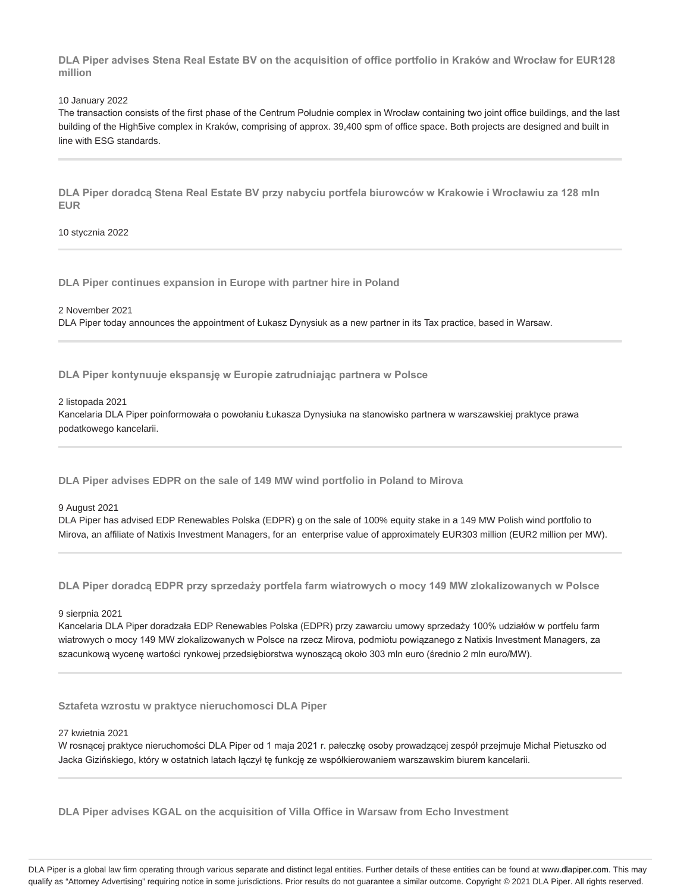**DLA Piper advises Stena Real Estate BV on the acquisition of office portfolio in Kraków and Wrocław for EUR128 million**

10 January 2022

The transaction consists of the first phase of the Centrum Południe complex in Wrocław containing two joint office buildings, and the last building of the High5ive complex in Kraków, comprising of approx. 39,400 spm of office space. Both projects are designed and built in line with ESG standards.

**DLA Piper doradcą Stena Real Estate BV przy nabyciu portfela biurowców w Krakowie i Wrocławiu za 128 mln EUR**

10 stycznia 2022

**DLA Piper continues expansion in Europe with partner hire in Poland**

2 November 2021 DLA Piper today announces the appointment of Łukasz Dynysiuk as a new partner in its Tax practice, based in Warsaw.

**DLA Piper kontynuuje ekspansję w Europie zatrudniając partnera w Polsce**

2 listopada 2021 Kancelaria DLA Piper poinformowała o powołaniu Łukasza Dynysiuka na stanowisko partnera w warszawskiej praktyce prawa podatkowego kancelarii.

**DLA Piper advises EDPR on the sale of 149 MW wind portfolio in Poland to Mirova**

9 August 2021

DLA Piper has advised EDP Renewables Polska (EDPR) g on the sale of 100% equity stake in a 149 MW Polish wind portfolio to Mirova, an affiliate of Natixis Investment Managers, for an enterprise value of approximately EUR303 million (EUR2 million per MW).

**DLA Piper doradcą EDPR przy sprzedaży portfela farm wiatrowych o mocy 149 MW zlokalizowanych w Polsce**

9 sierpnia 2021

Kancelaria DLA Piper doradzała EDP Renewables Polska (EDPR) przy zawarciu umowy sprzedaży 100% udziałów w portfelu farm wiatrowych o mocy 149 MW zlokalizowanych w Polsce na rzecz Mirova, podmiotu powiązanego z Natixis Investment Managers, za szacunkową wycenę wartości rynkowej przedsiębiorstwa wynoszącą około 303 mln euro (średnio 2 mln euro/MW).

**Sztafeta wzrostu w praktyce nieruchomosci DLA Piper**

27 kwietnia 2021

W rosnącej praktyce nieruchomości DLA Piper od 1 maja 2021 r. pałeczkę osoby prowadzącej zespół przejmuje Michał Pietuszko od Jacka Gizińskiego, który w ostatnich latach łączył tę funkcję ze współkierowaniem warszawskim biurem kancelarii.

**DLA Piper advises KGAL on the acquisition of Villa Office in Warsaw from Echo Investment**

DLA Piper is a global law firm operating through various separate and distinct legal entities. Further details of these entities can be found at www.dlapiper.com. This may qualify as "Attorney Advertising" requiring notice in some jurisdictions. Prior results do not guarantee a similar outcome. Copyright @ 2021 DLA Piper. All rights reserved.